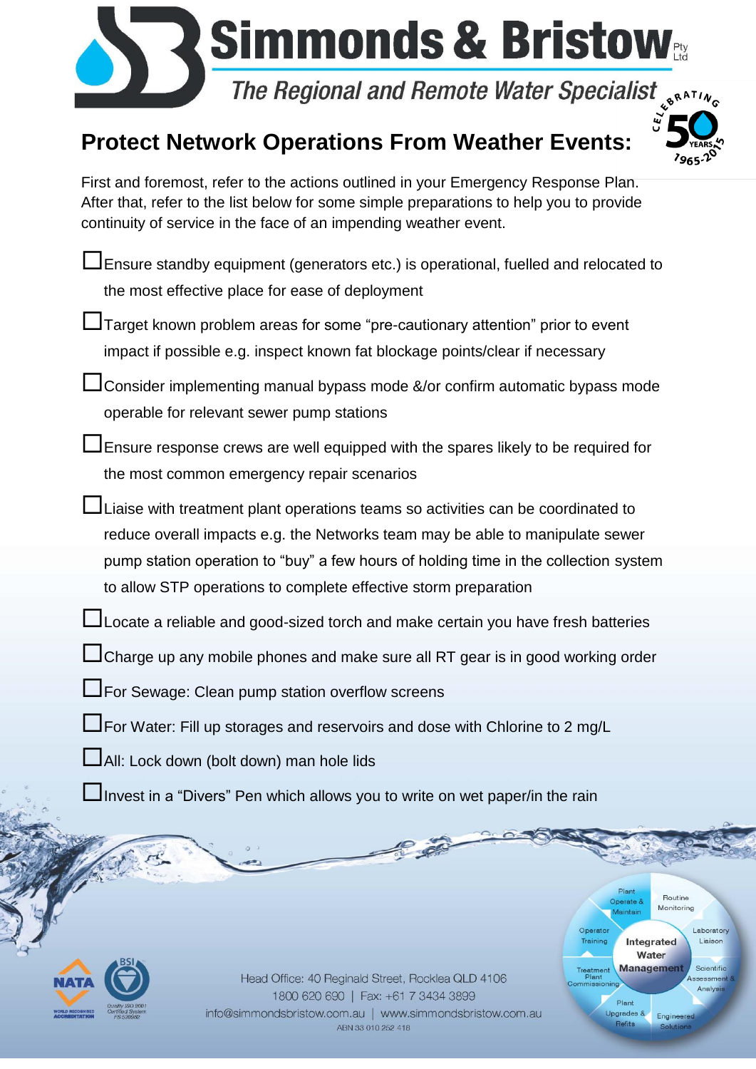

## **Protect Network Operations From Weather Events:**



Plant

Plant

Upgrades &

Refits

Operato

Treatment<br>Plant

Routine Monitoring

Engineered

Integrated Water **Management**  Laboratory

antific

Analys

First and foremost, refer to the actions outlined in your Emergency Response Plan. After that, refer to the list below for some simple preparations to help you to provide continuity of service in the face of an impending weather event.

- Ensure standby equipment (generators etc.) is operational, fuelled and relocated to the most effective place for ease of deployment
- Target known problem areas for some "pre-cautionary attention" prior to event impact if possible e.g. inspect known fat blockage points/clear if necessary
- $\Box$  Consider implementing manual bypass mode &/or confirm automatic bypass mode operable for relevant sewer pump stations
- Ensure response crews are well equipped with the spares likely to be required for the most common emergency repair scenarios
- Liaise with treatment plant operations teams so activities can be coordinated to reduce overall impacts e.g. the Networks team may be able to manipulate sewer pump station operation to "buy" a few hours of holding time in the collection system to allow STP operations to complete effective storm preparation
- LJ Locate a reliable and good-sized torch and make certain you have fresh batteries
- LI Charge up any mobile phones and make sure all RT gear is in good working order
- **L**For Sewage: Clean pump station overflow screens
- $\Box$ For Water: Fill up storages and reservoirs and dose with Chlorine to 2 mg/L
- All: Lock down (bolt down) man hole lids
- Invest in a "Divers" Pen which allows you to write on wet paper/in the rain



Head Office: 40 Reginald Street, Rocklea QLD 4106 1800 620 690 | Fax: +61 7 3434 3899 info@simmondsbristow.com.au | www.simmondsbristow.com.au ABN 33 010 252 418

Pi